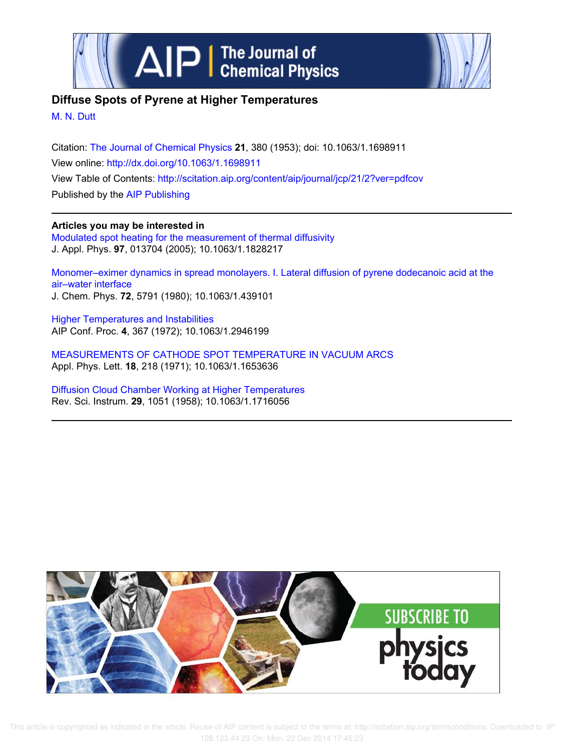



# **Diffuse Spots of Pyrene at Higher Temperatures**

M. N. Dutt

Citation: The Journal of Chemical Physics **21**, 380 (1953); doi: 10.1063/1.1698911 View online: http://dx.doi.org/10.1063/1.1698911 View Table of Contents: http://scitation.aip.org/content/aip/journal/jcp/21/2?ver=pdfcov Published by the AIP Publishing

**Articles you may be interested in** Modulated spot heating for the measurement of thermal diffusivity J. Appl. Phys. **97**, 013704 (2005); 10.1063/1.1828217

Monomer–eximer dynamics in spread monolayers. I. Lateral diffusion of pyrene dodecanoic acid at the air–water interface J. Chem. Phys. **72**, 5791 (1980); 10.1063/1.439101

Higher Temperatures and Instabilities AIP Conf. Proc. **4**, 367 (1972); 10.1063/1.2946199

MEASUREMENTS OF CATHODE SPOT TEMPERATURE IN VACUUM ARCS Appl. Phys. Lett. **18**, 218 (1971); 10.1063/1.1653636

Diffusion Cloud Chamber Working at Higher Temperatures Rev. Sci. Instrum. **29**, 1051 (1958); 10.1063/1.1716056



 This article is copyrighted as indicated in the article. Reuse of AIP content is subject to the terms at: http://scitation.aip.org/termsconditions. Downloaded to IP: 128.123.44.23 On: Mon, 22 Dec 2014 17:45:23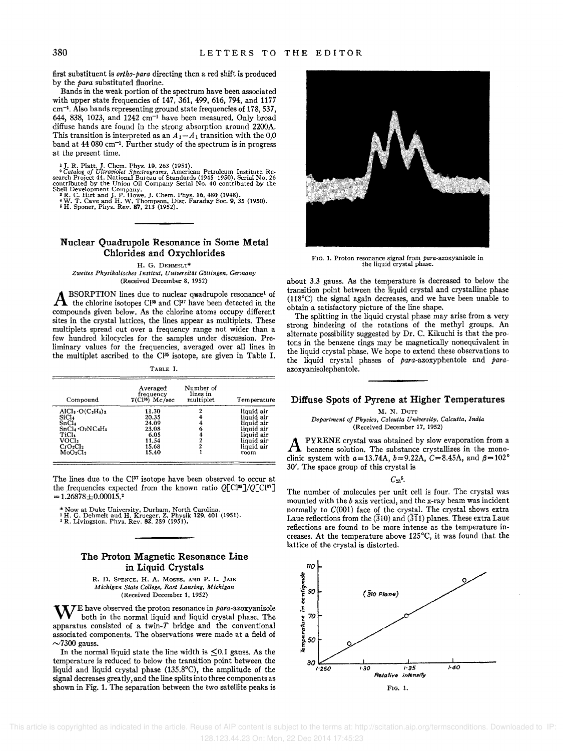first substituent is *ortho-para* directing then a red shift is produced by the *para* substituted fluorine.

Bands in the weak portion of the spectrum have been associated with upper state frequencies of 147, 361, 499, 616, 794, and 1177 cm-<sup>I</sup> . Also bands representing ground state frequencies of 178, 537, 644, 838, 1023, and 1242  $cm^{-1}$  have been measured. Only broad diffuse bands are found in the strong absorption around 2200A. This transition is interpreted as an  $\tilde{A_1 - A_1}$  transition with the 0,0 band at 44 080 cm-<sup>I</sup> . Further study of the spectrum is in progress at the present time.

<sup>1</sup> J. R. Platt, J. Chem. Phys. 19, 263 (1951).<br><sup>2</sup> Catalog of Ultraviolet Spectrograms, American Petroleum Institute Research Project 44. National Bureau of Standards (1945–1950), Serial No. 26<br>contributed by the Union O

### Nuclear Quadrupole Resonance in Some Metal Chlorides and Oxychlorides

H. G. DEHMELT\* *Zweites Physikalisches Institut, Universitlit Gotlingen, Germany*  (Received December 8, 1952)

**A** BSORPTION lines due to nuclear quadrupole resonance<sup>1</sup> of the chlorine isotopes  $C^{135}$  and  $C^{137}$  have been detected in the BSORPTION lines due to nuclear quadrupole resonance<sup>1</sup> of compounds given below. As the chlorine atoms occupy different sites in the crystal lattices, the lines appear as multiplets. These multiplets spread out over a frequency range not wider than a few hundred kilocycles for the samples under discussion. Preliminary values for the frequencies, averaged over all lines in the multiplet ascribed to the Cl<sup>35</sup> isotope, are given in Table I.

TABLE I.

| Compound                         | Averaged<br>frequency<br>$\overline{\nu}$ (Cl <sup>36</sup> ) Mc/sec | Number of<br>lines in<br>multiplet | Temperature |
|----------------------------------|----------------------------------------------------------------------|------------------------------------|-------------|
| $AICI3·O(C2H6)2$                 | 11.30                                                                |                                    | liquid air  |
| SiCl.                            | 20.35                                                                |                                    | liouid air  |
| SnC14                            | 24.09                                                                |                                    | liquid air  |
| $SnCl4 · O2NC6H5$                | 23.08                                                                | 6                                  | liquid air  |
| TiCl4                            | 6.05                                                                 |                                    | liguid air  |
| VOCI2                            | 11.54                                                                |                                    | liquid air  |
| CrO <sub>2</sub> Cl <sub>2</sub> | 15.68                                                                |                                    | liquid air  |
| MoO <sub>2</sub> Cl <sub>2</sub> | 15.40                                                                |                                    | room        |

The lines due to the Cl<sup>37</sup> isotope have been observed to occur at the frequencies expected from the known ratio *Q[CI35]/Q[CJ37]*   $= 1.26878 \pm 0.00015$ .

\* Now at Duke University, Durham, North Carolina. <sup>1</sup>H. G. Dehmelt and H. Krueger, Z. Physik 129, 401 (1951). , R. Livingston, Phys. Rev. 82, 289 (1951).

# The Proton Magnetic Resonance Line in Liquid Crystals

R. D. SPENCE, H. A. MOSES, AND P. L. JAIN *Michigan State College, East Lansing, Michigan*  (Received December 1, 1952)

 $\mathbf{W}^{\text{E}}$  have observed the proton resonance in para-azoxyanisole both in the normal liquid and liquid crystal phase. The apparatus consisted of a twin-T bridge and the conventional associated components. The observations were made at a field of  $\sim$ 7300 gauss.

In the normal liquid state the line width is  $\leq 0.1$  gauss. As the temperature is reduced to below the transition point between the liquid and liquid crystal phase (135.8°C), the amplitude of the signal decreases greatly, and the line splits into three components as shown in Fig. 1. The separation between the two satellite peaks is



FIG. 1. Proton resonance signal from  $para$ -azoxyanisole in the liquid crystal phase.

about 3.3 gauss. As the temperature is decreased to below the transition point between the liquid crystal and crystalline phase (118°C) the signal again decreases, and we have been unable to obtain a satisfactory picture of the line shape.

The splitting in the liquid crystal phase may arise from a very strong hindering of the rotations of the methyl groups. An alternate possibility suggested by Dr. C. Kikuchi is that the protons in the benzene rings may be magnetically nonequivalent in the liquid crystal phase. We hope to extend these observations to the liquid crystal phases of para-azoxyphentole and *para*azoxyanisolephentole.

#### Diffuse Spots of Pyrene at Higher Temperatures

M. N. DUTT

*Department of Physics, Calcutta University, Calcutta, India*  (Received December 17, 1952)

A PYRENE crystal was obtained by slow evaporation from a benzene solution. The substance crystallizes in the monoclinic system with  $a=13.74A$ ,  $b=9.22A$ ,  $C=8.45A$ , and  $\beta=102^{\circ}$ 30'. The space group of this crystal is

*C2h·.* 

The number of molecules per unit cell is four. The crystal was mounted with the b axis vertical, and the x-ray beam was incident normally to  $C(001)$  face of the crystal. The crystal shows extra Laue reflections from the  $(310)$  and  $(311)$  planes. These extra Laue reflections are found to be more intense as the temperature increases. At the temperature above 125°C, it was found that the lattice of the crystal is distorted.